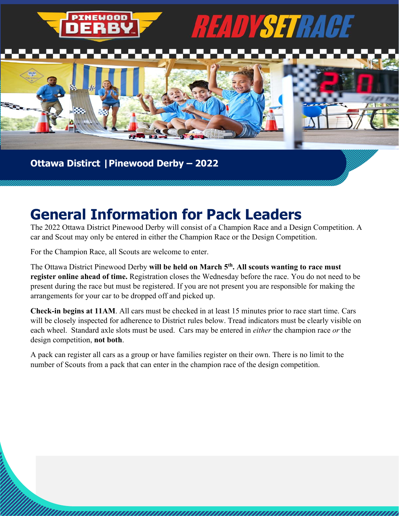

### **Ottawa Distirct |Pinewood Derby ± 2022**

### **General Information for Pack Leaders**

The 2022 Ottawa District Pinewood Derby will consist of a Champion Race and a Design Competition. A car and Scout may only be entered in either the Champion Race or the Design Competition.

For the Champion Race, all Scouts are welcome to enter.

The Ottawa District Pinewood Derby **will be held on March 5th. All scouts wanting to race must register online ahead of time.** Registration closes the Wednesday before the race. You do not need to be present during the race but must be registered. If you are not present you are responsible for making the arrangements for your car to be dropped off and picked up.

**Check-in begins at 11AM**. All cars must be checked in at least 15 minutes prior to race start time. Cars will be closely inspected for adherence to District rules below. Tread indicators must be clearly visible on each wheel. Standard axle slots must be used. Cars may be entered in *either* the champion race *or* the design competition, **not both**.

,,,,,,,,,,,,,,,,,,,,,,,,,

A pack can register all cars as a group or have families register on their own. There is no limit to the number of Scouts from a pack that can enter in the champion race of the design competition.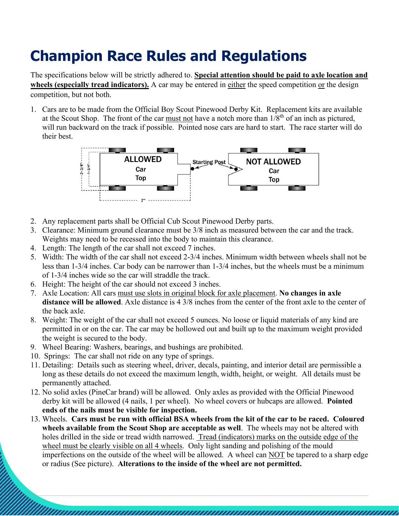## **Champion Race Rules and Regulations**

The specifications below will be strictly adhered to. **Special attention should be paid to axle location and**  wheels (especially tread indicators). A car may be entered in either the speed competition or the design competition, but not both.

1. Cars are to be made from the Official Boy Scout Pinewood Derby Kit. Replacement kits are available at the Scout Shop. The front of the car must not have a notch more than  $1/8<sup>th</sup>$  of an inch as pictured, will run backward on the track if possible. Pointed nose cars are hard to start. The race starter will do their best.



- 2. Any replacement parts shall be Official Cub Scout Pinewood Derby parts.
- 3. Clearance: Minimum ground clearance must be 3/8 inch as measured between the car and the track. Weights may need to be recessed into the body to maintain this clearance.
- 4. Length: The length of the car shall not exceed 7 inches.
- 5. Width: The width of the car shall not exceed 2-3/4 inches. Minimum width between wheels shall not be less than 1-3/4 inches. Car body can be narrower than 1-3/4 inches, but the wheels must be a minimum of 1-3/4 inches wide so the car will straddle the track.
- 6. Height: The height of the car should not exceed 3 inches.
- 7. Axle Location: All cars must use slots in original block for axle placement. **No changes in axle distance will be allowed**. Axle distance is 4 3/8 inches from the center of the front axle to the center of the back axle.
- 8. Weight: The weight of the car shall not exceed 5 ounces. No loose or liquid materials of any kind are permitted in or on the car. The car may be hollowed out and built up to the maximum weight provided the weight is secured to the body.
- 9. Wheel Bearing: Washers, bearings, and bushings are prohibited.
- 10. Springs: The car shall not ride on any type of springs.
- 11. Detailing: Details such as steering wheel, driver, decals, painting, and interior detail are permissible a long as these details do not exceed the maximum length, width, height, or weight. All details must be permanently attached.
- 12. No solid axles (PineCar brand) will be allowed. Only axles as provided with the Official Pinewood derby kit will be allowed (4 nails, 1 per wheel). No wheel covers or hubcaps are allowed. **Pointed ends of the nails must be visible for inspection.**
- 13. Wheels. **Cars must be run with official BSA wheels from the kit of the car to be raced. Coloured wheels available from the Scout Shop are acceptable as well**. The wheels may not be altered with holes drilled in the side or tread width narrowed. Tread (indicators) marks on the outside edge of the wheel must be clearly visible on all 4 wheels. Only light sanding and polishing of the mould imperfections on the outside of the wheel will be allowed. A wheel can NOT be tapered to a sharp edge or radius (See picture). **Alterations to the inside of the wheel are not permitted.**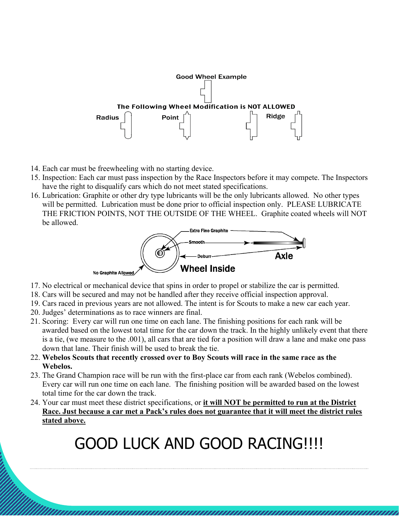

- 14. Each car must be freewheeling with no starting device.
- 15. Inspection: Each car must pass inspection by the Race Inspectors before it may compete. The Inspectors have the right to disqualify cars which do not meet stated specifications.
- 16. Lubrication: Graphite or other dry type lubricants will be the only lubricants allowed. No other types will be permitted. Lubrication must be done prior to official inspection only. PLEASE LUBRICATE THE FRICTION POINTS, NOT THE OUTSIDE OF THE WHEEL. Graphite coated wheels will NOT be allowed.



- 17. No electrical or mechanical device that spins in order to propel or stabilize the car is permitted.
- 18. Cars will be secured and may not be handled after they receive official inspection approval.
- 19. Cars raced in previous years are not allowed. The intent is for Scouts to make a new car each year.
- 20. Judges' determinations as to race winners are final.
- 21. Scoring: Every car will run one time on each lane. The finishing positions for each rank will be awarded based on the lowest total time for the car down the track. In the highly unlikely event that there is a tie, (we measure to the .001), all cars that are tied for a position will draw a lane and make one pass down that lane. Their finish will be used to break the tie.
- 22. **Webelos Scouts that recently crossed over to Boy Scouts will race in the same race as the Webelos.**
- 23. The Grand Champion race will be run with the first-place car from each rank (Webelos combined). Every car will run one time on each lane. The finishing position will be awarded based on the lowest total time for the car down the track.
- 24. Your car must meet these district specifications, or **it will NOT be permitted to run at the District Race. Just because a car met a Pack's rules does not guarantee that it will meet the district rules stated above.**

# GOOD LUCK AND GOOD RACING!!!!

,,,,,,,,,,,,,,,,,,,,,,,,,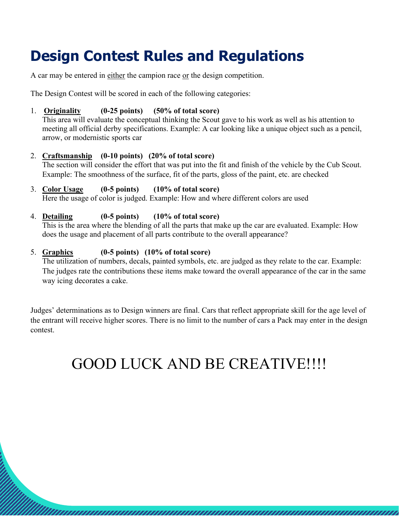## **Design Contest Rules and Regulations**

A car may be entered in either the campion race or the design competition.

The Design Contest will be scored in each of the following categories:

#### 1. **Originality (0-25 points) (50% of total score)**

This area will evaluate the conceptual thinking the Scout gave to his work as well as his attention to meeting all official derby specifications. Example: A car looking like a unique object such as a pencil, arrow, or modernistic sports car

#### 2. **Craftsmanship (0-10 points) (20% of total score)**

The section will consider the effort that was put into the fit and finish of the vehicle by the Cub Scout. Example: The smoothness of the surface, fit of the parts, gloss of the paint, etc. are checked

#### 3. **Color Usage (0-5 points) (10% of total score)**

Here the usage of color is judged. Example: How and where different colors are used

#### 4. **Detailing (0-5 points) (10% of total score)**

This is the area where the blending of all the parts that make up the car are evaluated. Example: How does the usage and placement of all parts contribute to the overall appearance?

#### 5. **Graphics (0-5 points) (10% of total score)**

The utilization of numbers, decals, painted symbols, etc. are judged as they relate to the car. Example: The judges rate the contributions these items make toward the overall appearance of the car in the same way icing decorates a cake.

Judges' determinations as to Design winners are final. Cars that reflect appropriate skill for the age level of the entrant will receive higher scores. There is no limit to the number of cars a Pack may enter in the design contest.

### GOOD LUCK AND BE CREATIVE!!!!